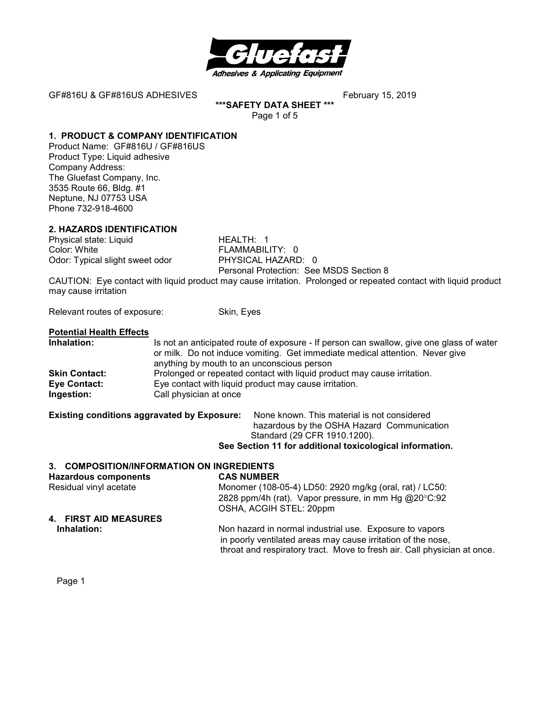

**\*\*\*SAFETY DATA SHEET \*\*\***  Page 1 of 5

# **1. PRODUCT & COMPANY IDENTIFICATION**

Product Name: GF#816U / GF#816US Product Type: Liquid adhesive Company Address: The Gluefast Company, Inc. 3535 Route 66, Bldg. #1 Neptune, NJ 07753 USA Phone 732-918-4600

# **2. HAZARDS IDENTIFICATION**

Physical state: Liquid HEALTH: 1 Color: White **FLAMMABILITY:** 0 Odor: Typical slight sweet odor PHYSICAL HAZARD: 0

Personal Protection: See MSDS Section 8

CAUTION: Eye contact with liquid product may cause irritation. Prolonged or repeated contact with liquid product may cause irritation

Relevant routes of exposure: Skin, Eyes

### **Potential Health Effects**

| Inhalation:          | Is not an anticipated route of exposure - If person can swallow, give one glass of water<br>or milk. Do not induce vomiting. Get immediate medical attention. Never give |  |
|----------------------|--------------------------------------------------------------------------------------------------------------------------------------------------------------------------|--|
|                      | anything by mouth to an unconscious person                                                                                                                               |  |
| <b>Skin Contact:</b> | Prolonged or repeated contact with liquid product may cause irritation.                                                                                                  |  |
| Eye Contact:         | Eye contact with liquid product may cause irritation.                                                                                                                    |  |
| Ingestion:           | Call physician at once                                                                                                                                                   |  |

**Existing conditions aggravated by Exposure:** None known. This material is not considered hazardous by the OSHA Hazard Communication Standard (29 CFR 1910.1200).

**See Section 11 for additional toxicological information.** 

throat and respiratory tract. Move to fresh air. Call physician at once.

| 3. COMPOSITION/INFORMATION ON INGREDIENTS |                                                                                                                         |
|-------------------------------------------|-------------------------------------------------------------------------------------------------------------------------|
| <b>Hazardous components</b>               | <b>CAS NUMBER</b>                                                                                                       |
| Residual vinyl acetate                    | Monomer (108-05-4) LD50: 2920 mg/kg (oral, rat) / LC50:                                                                 |
|                                           | 2828 ppm/4h (rat). Vapor pressure, in mm Hg @20°C:92<br>OSHA, ACGIH STEL: 20ppm                                         |
| 4. FIRST AID MEASURES                     |                                                                                                                         |
| Inhalation:                               | Non hazard in normal industrial use. Exposure to vapors<br>in poorly ventilated areas may cause irritation of the nose, |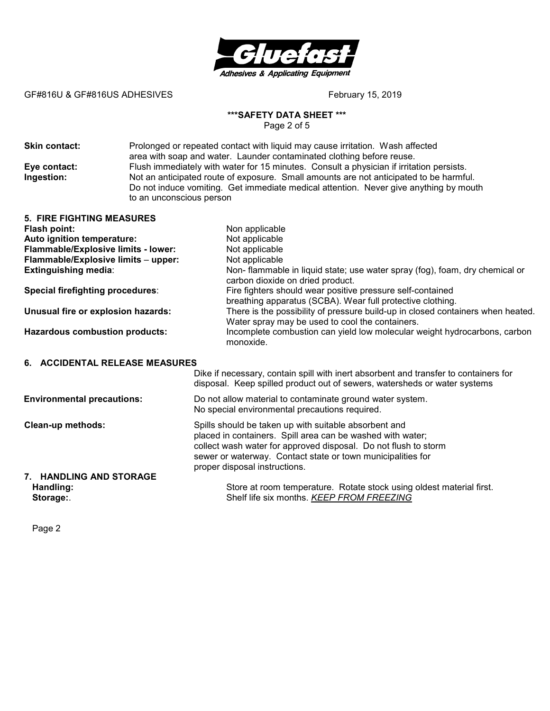

# **\*\*\*SAFETY DATA SHEET \*\*\***

Page 2 of 5

**Skin contact:** Prolonged or repeated contact with liquid may cause irritation.Wash affected area with soap and water. Launder contaminated clothing before reuse. **Eye contact:** Flush immediately with water for 15 minutes. Consult a physician if irritation persists.<br>Ingestion: Not an anticipated route of exposure. Small amounts are not anticipated to be harmfu Not an anticipated route of exposure. Small amounts are not anticipated to be harmful. Do not induce vomiting. Get immediate medical attention. Never give anything by mouth to an unconscious person

| <b>5. FIRE FIGHTING MEASURES</b>      |                                                                                                                                                                                                                                                                                        |  |
|---------------------------------------|----------------------------------------------------------------------------------------------------------------------------------------------------------------------------------------------------------------------------------------------------------------------------------------|--|
| Flash point:                          | Non applicable                                                                                                                                                                                                                                                                         |  |
| Auto ignition temperature:            | Not applicable                                                                                                                                                                                                                                                                         |  |
| Flammable/Explosive limits - lower:   | Not applicable                                                                                                                                                                                                                                                                         |  |
| Flammable/Explosive limits - upper:   | Not applicable                                                                                                                                                                                                                                                                         |  |
| <b>Extinguishing media:</b>           | Non- flammable in liquid state; use water spray (fog), foam, dry chemical or<br>carbon dioxide on dried product.                                                                                                                                                                       |  |
| Special firefighting procedures:      | Fire fighters should wear positive pressure self-contained<br>breathing apparatus (SCBA). Wear full protective clothing.                                                                                                                                                               |  |
| Unusual fire or explosion hazards:    | There is the possibility of pressure build-up in closed containers when heated.<br>Water spray may be used to cool the containers.                                                                                                                                                     |  |
| <b>Hazardous combustion products:</b> | Incomplete combustion can yield low molecular weight hydrocarbons, carbon<br>monoxide.                                                                                                                                                                                                 |  |
| 6. ACCIDENTAL RELEASE MEASURES        |                                                                                                                                                                                                                                                                                        |  |
|                                       | Dike if necessary, contain spill with inert absorbent and transfer to containers for<br>disposal. Keep spilled product out of sewers, watersheds or water systems                                                                                                                      |  |
| <b>Environmental precautions:</b>     | Do not allow material to contaminate ground water system.<br>No special environmental precautions required.                                                                                                                                                                            |  |
| Clean-up methods:                     | Spills should be taken up with suitable absorbent and<br>placed in containers. Spill area can be washed with water;<br>collect wash water for approved disposal. Do not flush to storm<br>sewer or waterway. Contact state or town municipalities for<br>proper disposal instructions. |  |
| 7. HANDLING AND STORAGE               |                                                                                                                                                                                                                                                                                        |  |
| Handling:                             | Store at room temperature. Rotate stock using oldest material first.                                                                                                                                                                                                                   |  |

Storage: Storage: Storage: Shelf life six months. **KEEP FROM FREEZING**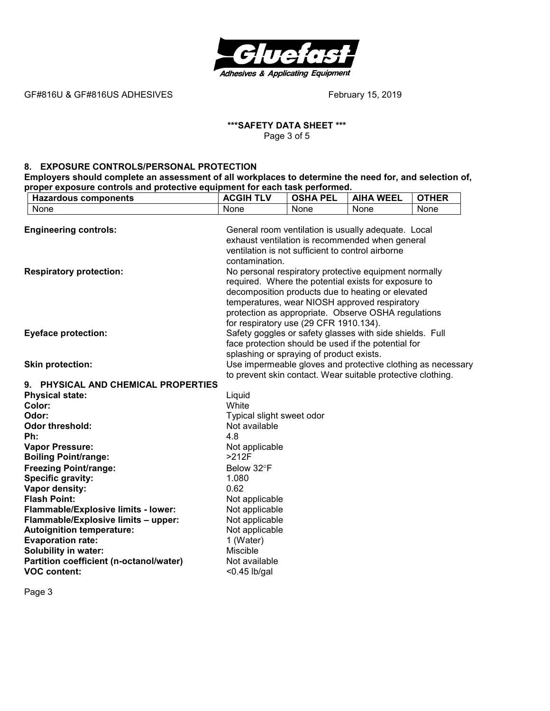

### **\*\*\*SAFETY DATA SHEET \*\*\***  Page 3 of 5

#### **8. EXPOSURE CONTROLS/PERSONAL PROTECTION**

**Employers should complete an assessment of all workplaces to determine the need for, and selection of, proper exposure controls and protective equipment for each task performed.** 

| <b>Hazardous components</b>                                             | <b>ACGIH TLV</b>                                  | <b>OSHA PEL</b> | <b>AIHA WEEL</b>                                            | <b>OTHER</b> |
|-------------------------------------------------------------------------|---------------------------------------------------|-----------------|-------------------------------------------------------------|--------------|
| None                                                                    | None                                              | None            | None                                                        | None         |
|                                                                         |                                                   |                 |                                                             |              |
| <b>Engineering controls:</b>                                            |                                                   |                 | General room ventilation is usually adequate. Local         |              |
|                                                                         |                                                   |                 | exhaust ventilation is recommended when general             |              |
|                                                                         | ventilation is not sufficient to control airborne |                 |                                                             |              |
|                                                                         | contamination.                                    |                 |                                                             |              |
| <b>Respiratory protection:</b>                                          |                                                   |                 | No personal respiratory protective equipment normally       |              |
|                                                                         |                                                   |                 | required. Where the potential exists for exposure to        |              |
|                                                                         |                                                   |                 | decomposition products due to heating or elevated           |              |
|                                                                         |                                                   |                 | temperatures, wear NIOSH approved respiratory               |              |
|                                                                         |                                                   |                 | protection as appropriate. Observe OSHA regulations         |              |
|                                                                         | for respiratory use (29 CFR 1910.134).            |                 |                                                             |              |
| <b>Eyeface protection:</b>                                              |                                                   |                 | Safety goggles or safety glasses with side shields. Full    |              |
|                                                                         |                                                   |                 | face protection should be used if the potential for         |              |
|                                                                         | splashing or spraying of product exists.          |                 |                                                             |              |
| <b>Skin protection:</b>                                                 |                                                   |                 | Use impermeable gloves and protective clothing as necessary |              |
|                                                                         |                                                   |                 | to prevent skin contact. Wear suitable protective clothing. |              |
| 9. PHYSICAL AND CHEMICAL PROPERTIES                                     |                                                   |                 |                                                             |              |
| <b>Physical state:</b>                                                  | Liquid                                            |                 |                                                             |              |
| Color:                                                                  | White                                             |                 |                                                             |              |
| Odor:                                                                   | Typical slight sweet odor                         |                 |                                                             |              |
| <b>Odor threshold:</b>                                                  | Not available                                     |                 |                                                             |              |
| Ph:                                                                     | 4.8                                               |                 |                                                             |              |
| <b>Vapor Pressure:</b>                                                  | Not applicable<br>>212F                           |                 |                                                             |              |
| <b>Boiling Point/range:</b>                                             |                                                   |                 |                                                             |              |
| <b>Freezing Point/range:</b>                                            | Below 32°F                                        |                 |                                                             |              |
| Specific gravity:                                                       | 1.080                                             |                 |                                                             |              |
| Vapor density:<br><b>Flash Point:</b>                                   | 0.62                                              |                 |                                                             |              |
|                                                                         | Not applicable                                    |                 |                                                             |              |
| Flammable/Explosive limits - lower:                                     | Not applicable                                    |                 |                                                             |              |
| Flammable/Explosive limits - upper:<br><b>Autoignition temperature:</b> | Not applicable<br>Not applicable                  |                 |                                                             |              |
| <b>Evaporation rate:</b>                                                | 1 (Water)                                         |                 |                                                             |              |
| <b>Solubility in water:</b>                                             | <b>Miscible</b>                                   |                 |                                                             |              |
| Partition coefficient (n-octanol/water)                                 | Not available                                     |                 |                                                             |              |
| <b>VOC content:</b>                                                     | $<$ 0.45 lb/gal                                   |                 |                                                             |              |
|                                                                         |                                                   |                 |                                                             |              |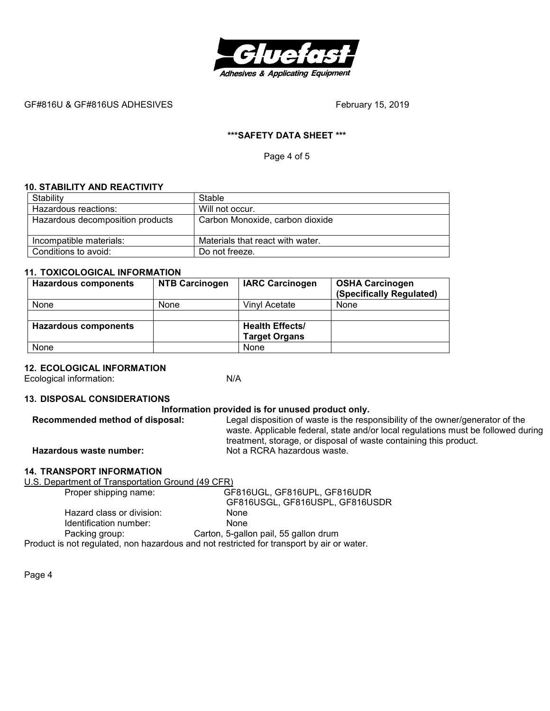

# **\*\*\*SAFETY DATA SHEET \*\*\***

Page 4 of 5

### **10. STABILITY AND REACTIVITY**

| Stability                        | Stable                           |
|----------------------------------|----------------------------------|
| Hazardous reactions:             | Will not occur.                  |
| Hazardous decomposition products | Carbon Monoxide, carbon dioxide  |
|                                  |                                  |
| Incompatible materials:          | Materials that react with water. |
| Conditions to avoid:             | Do not freeze.                   |

# **11. TOXICOLOGICAL INFORMATION**

| <b>Hazardous components</b> | <b>NTB Carcinogen</b> | <b>IARC Carcinogen</b> | <b>OSHA Carcinogen</b><br>(Specifically Regulated) |
|-----------------------------|-----------------------|------------------------|----------------------------------------------------|
| <b>None</b>                 | None                  | Vinyl Acetate          | None                                               |
|                             |                       |                        |                                                    |
| <b>Hazardous components</b> |                       | <b>Health Effects/</b> |                                                    |
|                             |                       | <b>Target Organs</b>   |                                                    |
| None                        |                       | None                   |                                                    |

# **12. ECOLOGICAL INFORMATION**

Ecological information: N/A

# **13. DISPOSAL CONSIDERATIONS**

| Information provided is for unused product only.                                                                  |                                                                                                                                                                                       |  |
|-------------------------------------------------------------------------------------------------------------------|---------------------------------------------------------------------------------------------------------------------------------------------------------------------------------------|--|
| Recommended method of disposal:<br>Legal disposition of waste is the responsibility of the owner/generator of the |                                                                                                                                                                                       |  |
| Hazardous waste number:                                                                                           | waste. Applicable federal, state and/or local regulations must be followed during<br>treatment, storage, or disposal of waste containing this product.<br>Not a RCRA hazardous waste. |  |

#### **14. TRANSPORT INFORMATION**

| U.S. Department of Transportation Ground (49 CFR)                                         |                                       |  |
|-------------------------------------------------------------------------------------------|---------------------------------------|--|
| Proper shipping name:                                                                     | GF816UGL, GF816UPL, GF816UDR          |  |
|                                                                                           | GF816USGL, GF816USPL, GF816USDR       |  |
| Hazard class or division:                                                                 | None                                  |  |
| Identification number:                                                                    | <b>None</b>                           |  |
| Packing group:                                                                            | Carton, 5-gallon pail, 55 gallon drum |  |
| Product is not regulated, non hazardous and not restricted for transport by air or water. |                                       |  |